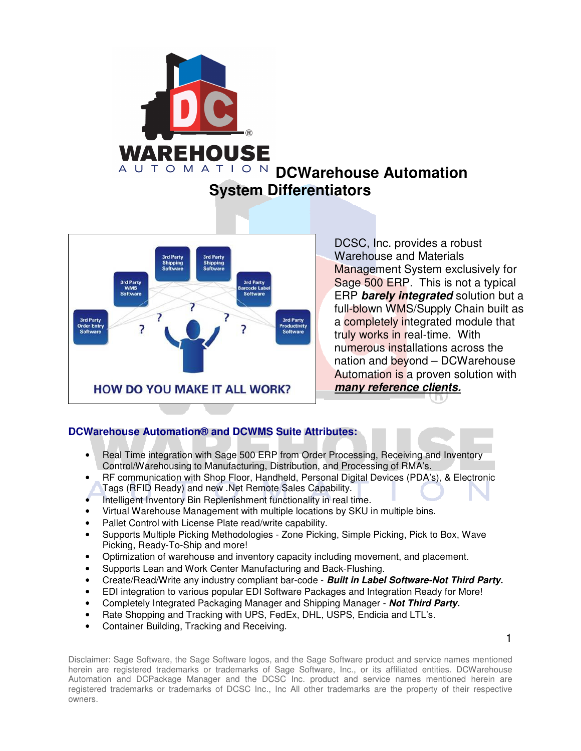



DCSC, Inc. provides a robust Warehouse and Materials Management System exclusively for Sage 500 ERP. This is not a typical ERP **barely integrated** solution but a full-blown WMS/Supply Chain built as a completely integrated module that truly works in real-time. With numerous installations across the nation and beyond – DCWarehouse Automation is a proven solution with **many reference clients.** 

## **DCWarehouse Automation® and DCWMS Suite Attributes:**

- Real Time integration with Sage 500 ERP from Order Processing, Receiving and Inventory Control/Warehousing to Manufacturing, Distribution, and Processing of RMA's.
- RF communication with Shop Floor, Handheld, Personal Digital Devices (PDA's), & Electronic Tags (RFID Ready) and new .Net Remote Sales Capability.
- Intelligent Inventory Bin Replenishment functionality in real time.
- Virtual Warehouse Management with multiple locations by SKU in multiple bins.
- Pallet Control with License Plate read/write capability.
- Supports Multiple Picking Methodologies Zone Picking, Simple Picking, Pick to Box, Wave Picking, Ready-To-Ship and more!
- Optimization of warehouse and inventory capacity including movement, and placement.
- Supports Lean and Work Center Manufacturing and Back-Flushing.
- Create/Read/Write any industry compliant bar-code **Built in Label Software-Not Third Party.**
- EDI integration to various popular EDI Software Packages and Integration Ready for More!
- Completely Integrated Packaging Manager and Shipping Manager **Not Third Party.**
- Rate Shopping and Tracking with UPS, FedEx, DHL, USPS, Endicia and LTL's.
- Container Building, Tracking and Receiving.

1

Disclaimer: Sage Software, the Sage Software logos, and the Sage Software product and service names mentioned herein are registered trademarks or trademarks of Sage Software, Inc., or its affiliated entities. DCWarehouse Automation and DCPackage Manager and the DCSC Inc. product and service names mentioned herein are registered trademarks or trademarks of DCSC Inc., Inc All other trademarks are the property of their respective owners.